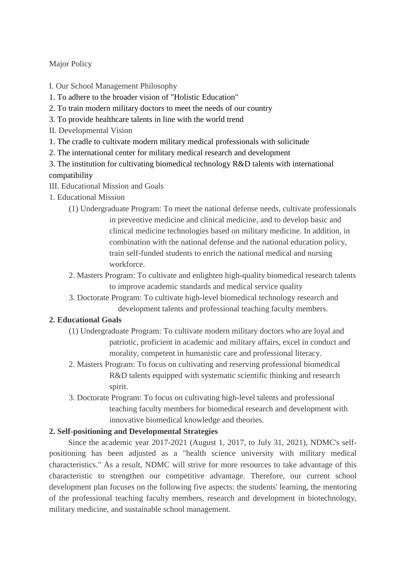Major Policy

- I. Our School Management Philosophy
- 1. To adhere to the broader vision of "Holistic Education"
- 2. To train modern military doctors to meet the needs of our country
- 3. To provide healthcare talents in line with the world trend
- II. Developmental Vision
- 1. The cradle to cultivate modern military medical professionals with solicitude
- 2. The international center for military medical research and development
- 3. The institution for cultivating biomedical technology R&D talents with international compatibility
- III. Educational Mission and Goals
- 1. Educational Mission
	- (1) Undergraduate Program: To meet the national defense needs, cultivate professionals in preventive medicine and clinical medicine, and to develop basic and clinical medicine technologies based on military medicine. In addition, in combination with the national defense and the national education policy, train self-funded students to enrich the national medical and nursing workforce.
	- 2. Masters Program: To cultivate and enlighten high-quality biomedical research talents to improve academic standards and medical service quality
	- 3. Doctorate Program: To cultivate high-level biomedical technology research and development talents and professional teaching faculty members.

## **2. Educational Goals**

- (1) Undergraduate Program: To cultivate modern military doctors who are loyal and patriotic, proficient in academic and military affairs, excel in conduct and morality, competent in humanistic care and professional literacy.
- 2. Masters Program: To focus on cultivating and reserving professional biomedical R&D talents equipped with systematic scientific thinking and research spirit.
- 3. Doctorate Program: To focus on cultivating high-level talents and professional teaching faculty members for biomedical research and development with innovative biomedical knowledge and theories.

## **2. Self-positioning and Developmental Strategies**

Since the academic year 2017-2021 (August 1, 2017, to July 31, 2021), NDMC's selfpositioning has been adjusted as a "health science university with military medical characteristics." As a result, NDMC will strive for more resources to take advantage of this characteristic to strengthen our competitive advantage. Therefore, our current school development plan focuses on the following five aspects: the students' learning, the mentoring of the professional teaching faculty members, research and development in biotechnology, military medicine, and sustainable school management.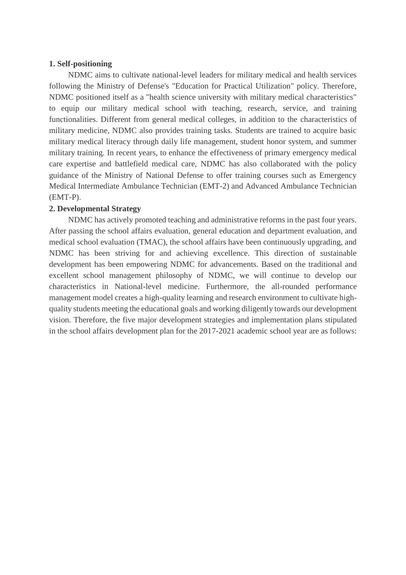## **1. Self-positioning**

NDMC aims to cultivate national-level leaders for military medical and health services following the Ministry of Defense's "Education for Practical Utilization" policy. Therefore, NDMC positioned itself as a "health science university with military medical characteristics" to equip our military medical school with teaching, research, service, and training functionalities. Different from general medical colleges, in addition to the characteristics of military medicine, NDMC also provides training tasks. Students are trained to acquire basic military medical literacy through daily life management, student honor system, and summer military training. In recent years, to enhance the effectiveness of primary emergency medical care expertise and battlefield medical care, NDMC has also collaborated with the policy guidance of the Ministry of National Defense to offer training courses such as Emergency Medical Intermediate Ambulance Technician (EMT-2) and Advanced Ambulance Technician (EMT-P).

## **2. Developmental Strategy**

NDMC has actively promoted teaching and administrative reforms in the past four years. After passing the school affairs evaluation, general education and department evaluation, and medical school evaluation (TMAC), the school affairs have been continuously upgrading, and NDMC has been striving for and achieving excellence. This direction of sustainable development has been empowering NDMC for advancements. Based on the traditional and excellent school management philosophy of NDMC, we will continue to develop our characteristics in National-level medicine. Furthermore, the all-rounded performance management model creates a high-quality learning and research environment to cultivate highquality students meeting the educational goals and working diligently towards our development vision. Therefore, the five major development strategies and implementation plans stipulated in the school affairs development plan for the 2017-2021 academic school year are as follows: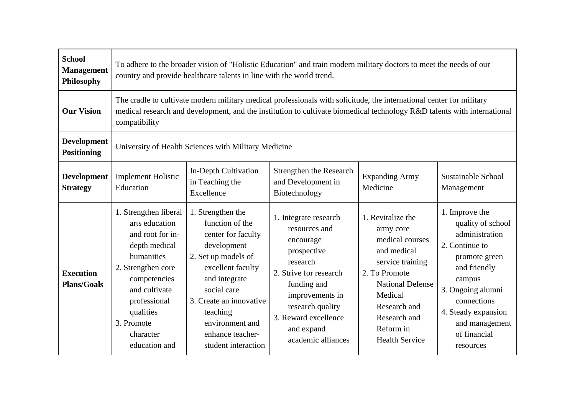| <b>School</b><br><b>Management</b><br>Philosophy | To adhere to the broader vision of "Holistic Education" and train modern military doctors to meet the needs of our<br>country and provide healthcare talents in line with the world trend.                                                                       |                                                                                                                                                                                                                                                            |                                                                                                                                                                                                                            |                                                                                                                                                                                                                   |                                                                                                                                                                                                                              |  |  |
|--------------------------------------------------|------------------------------------------------------------------------------------------------------------------------------------------------------------------------------------------------------------------------------------------------------------------|------------------------------------------------------------------------------------------------------------------------------------------------------------------------------------------------------------------------------------------------------------|----------------------------------------------------------------------------------------------------------------------------------------------------------------------------------------------------------------------------|-------------------------------------------------------------------------------------------------------------------------------------------------------------------------------------------------------------------|------------------------------------------------------------------------------------------------------------------------------------------------------------------------------------------------------------------------------|--|--|
| <b>Our Vision</b>                                | The cradle to cultivate modern military medical professionals with solicitude, the international center for military<br>medical research and development, and the institution to cultivate biomedical technology R&D talents with international<br>compatibility |                                                                                                                                                                                                                                                            |                                                                                                                                                                                                                            |                                                                                                                                                                                                                   |                                                                                                                                                                                                                              |  |  |
| <b>Development</b><br><b>Positioning</b>         | University of Health Sciences with Military Medicine                                                                                                                                                                                                             |                                                                                                                                                                                                                                                            |                                                                                                                                                                                                                            |                                                                                                                                                                                                                   |                                                                                                                                                                                                                              |  |  |
| <b>Development</b><br><b>Strategy</b>            | <b>Implement Holistic</b><br>Education                                                                                                                                                                                                                           | In-Depth Cultivation<br>in Teaching the<br>Excellence                                                                                                                                                                                                      | Strengthen the Research<br>and Development in<br>Biotechnology                                                                                                                                                             | <b>Expanding Army</b><br>Medicine                                                                                                                                                                                 | Sustainable School<br>Management                                                                                                                                                                                             |  |  |
| <b>Execution</b><br><b>Plans/Goals</b>           | 1. Strengthen liberal<br>arts education<br>and root for in-<br>depth medical<br>humanities<br>2. Strengthen core<br>competencies<br>and cultivate<br>professional<br>qualities<br>3. Promote<br>character<br>education and                                       | 1. Strengthen the<br>function of the<br>center for faculty<br>development<br>2. Set up models of<br>excellent faculty<br>and integrate<br>social care<br>3. Create an innovative<br>teaching<br>environment and<br>enhance teacher-<br>student interaction | 1. Integrate research<br>resources and<br>encourage<br>prospective<br>research<br>2. Strive for research<br>funding and<br>improvements in<br>research quality<br>3. Reward excellence<br>and expand<br>academic alliances | 1. Revitalize the<br>army core<br>medical courses<br>and medical<br>service training<br>2. To Promote<br><b>National Defense</b><br>Medical<br>Research and<br>Research and<br>Reform in<br><b>Health Service</b> | 1. Improve the<br>quality of school<br>administration<br>2. Continue to<br>promote green<br>and friendly<br>campus<br>3. Ongoing alumni<br>connections<br>4. Steady expansion<br>and management<br>of financial<br>resources |  |  |